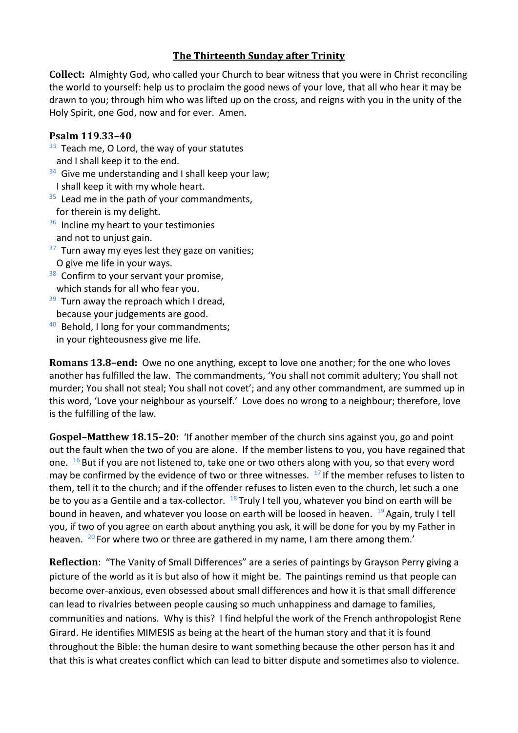## **The Thirteenth Sunday after Trinity**

**Collect:** Almighty God, who called your Church to bear witness that you were in Christ reconciling the world to yourself: help us to proclaim the good news of your love, that all who hear it may be drawn to you; through him who was lifted up on the cross, and reigns with you in the unity of the Holy Spirit, one God, now and for ever. Amen.

## **Psalm 119.33–40**

- $33$  Teach me, O Lord, the way of your statutes and I shall keep it to the end.
- <sup>34</sup> Give me understanding and I shall keep your law; I shall keep it with my whole heart.
- $35$  Lead me in the path of your commandments, for therein is my delight.
- <sup>36</sup> Incline my heart to your testimonies and not to unjust gain.
- $37$  Turn away my eyes lest they gaze on vanities; O give me life in your ways.
- <sup>38</sup> Confirm to your servant your promise, which stands for all who fear you.
- <sup>39</sup> Turn away the reproach which I dread, because your judgements are good.
- <sup>40</sup> Behold, I long for your commandments; in your righteousness give me life.

**Romans 13.8–end:** Owe no one anything, except to love one another; for the one who loves another has fulfilled the law. The commandments, 'You shall not commit adultery; You shall not murder; You shall not steal; You shall not covet'; and any other commandment, are summed up in this word, 'Love your neighbour as yourself.' Love does no wrong to a neighbour; therefore, love is the fulfilling of the law.

**Gospel–Matthew 18.15–20:** 'If another member of the church sins against you, go and point out the fault when the two of you are alone. If the member listens to you, you have regained that one.  $16$  But if you are not listened to, take one or two others along with you, so that every word may be confirmed by the evidence of two or three witnesses.  $17$  If the member refuses to listen to them, tell it to the church; and if the offender refuses to listen even to the church, let such a one be to you as a Gentile and a tax-collector.  $18$  Truly I tell you, whatever you bind on earth will be bound in heaven, and whatever you loose on earth will be loosed in heaven. <sup>19</sup> Again, truly I tell you, if two of you agree on earth about anything you ask, it will be done for you by my Father in heaven. <sup>20</sup> For where two or three are gathered in my name, I am there among them.'

**Reflection**: "The Vanity of Small Differences" are a series of paintings by Grayson Perry giving a picture of the world as it is but also of how it might be. The paintings remind us that people can become over-anxious, even obsessed about small differences and how it is that small difference can lead to rivalries between people causing so much unhappiness and damage to families, communities and nations. Why is this? I find helpful the work of the French anthropologist Rene Girard. He identifies MIMESIS as being at the heart of the human story and that it is found throughout the Bible: the human desire to want something because the other person has it and that this is what creates conflict which can lead to bitter dispute and sometimes also to violence.